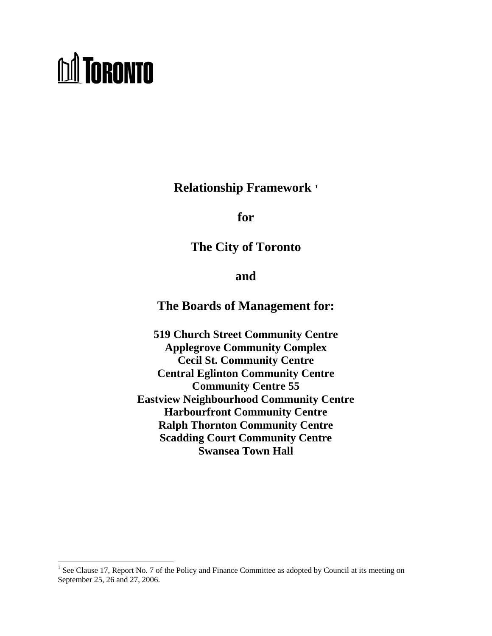# **DA TORONTO**

 $\overline{a}$ 

**Relationship Framework [1](#page-0-0)**

**for** 

**The City of Toronto** 

**and** 

**The Boards of Management for:** 

**519 Church Street Community Centre Applegrove Community Complex Cecil St. Community Centre Central Eglinton Community Centre Community Centre 55 Eastview Neighbourhood Community Centre Harbourfront Community Centre Ralph Thornton Community Centre Scadding Court Community Centre Swansea Town Hall** 

<span id="page-0-0"></span><sup>&</sup>lt;sup>1</sup> See Clause 17, Report No. 7 of the Policy and Finance Committee as adopted by Council at its meeting on September 25, 26 and 27, 2006.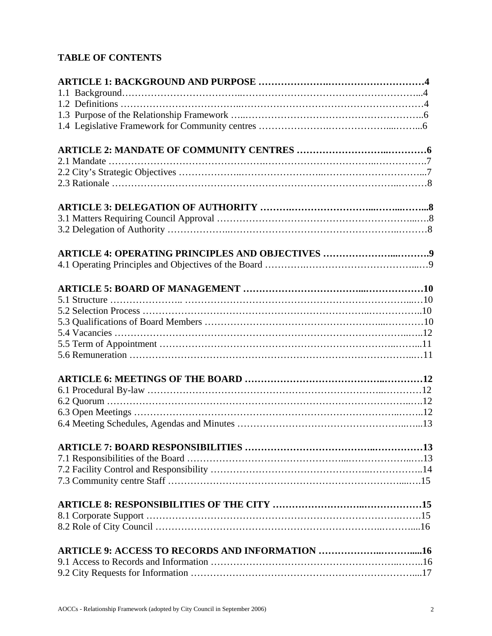# **TABLE OF CONTENTS**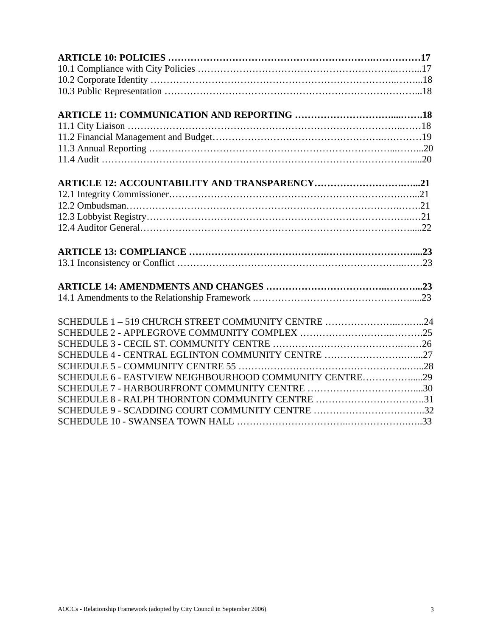| SCHEDULE 1-519 CHURCH STREET COMMUNITY CENTRE 24       |  |
|--------------------------------------------------------|--|
|                                                        |  |
|                                                        |  |
| SCHEDULE 4 - CENTRAL EGLINTON COMMUNITY CENTRE 27      |  |
|                                                        |  |
| SCHEDULE 6 - EASTVIEW NEIGHBOURHOOD COMMUNITY CENTRE29 |  |
|                                                        |  |
| SCHEDULE 8 - RALPH THORNTON COMMUNITY CENTRE 31        |  |
| SCHEDULE 9 - SCADDING COURT COMMUNITY CENTRE 32        |  |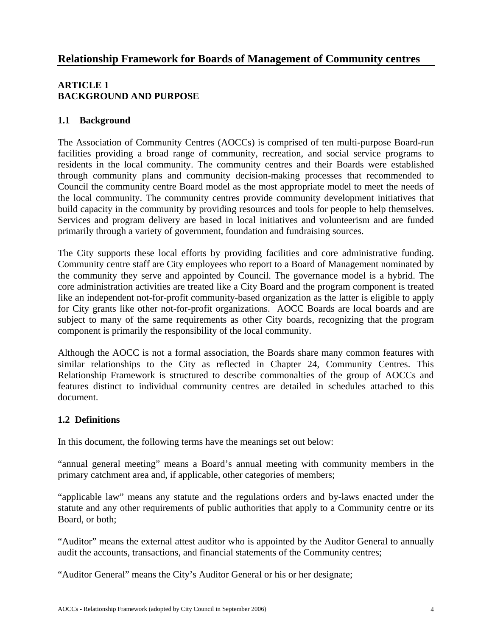## **ARTICLE 1 BACKGROUND AND PURPOSE**

## **1.1 Background**

The Association of Community Centres (AOCCs) is comprised of ten multi-purpose Board-run facilities providing a broad range of community, recreation, and social service programs to residents in the local community. The community centres and their Boards were established through community plans and community decision-making processes that recommended to Council the community centre Board model as the most appropriate model to meet the needs of the local community. The community centres provide community development initiatives that build capacity in the community by providing resources and tools for people to help themselves. Services and program delivery are based in local initiatives and volunteerism and are funded primarily through a variety of government, foundation and fundraising sources.

The City supports these local efforts by providing facilities and core administrative funding. Community centre staff are City employees who report to a Board of Management nominated by the community they serve and appointed by Council. The governance model is a hybrid. The core administration activities are treated like a City Board and the program component is treated like an independent not-for-profit community-based organization as the latter is eligible to apply for City grants like other not-for-profit organizations. AOCC Boards are local boards and are subject to many of the same requirements as other City boards, recognizing that the program component is primarily the responsibility of the local community.

Although the AOCC is not a formal association, the Boards share many common features with similar relationships to the City as reflected in Chapter 24, Community Centres. This Relationship Framework is structured to describe commonalties of the group of AOCCs and features distinct to individual community centres are detailed in schedules attached to this document.

## **1.2 Definitions**

In this document, the following terms have the meanings set out below:

"annual general meeting" means a Board's annual meeting with community members in the primary catchment area and, if applicable, other categories of members;

"applicable law" means any statute and the regulations orders and by-laws enacted under the statute and any other requirements of public authorities that apply to a Community centre or its Board, or both;

"Auditor" means the external attest auditor who is appointed by the Auditor General to annually audit the accounts, transactions, and financial statements of the Community centres;

"Auditor General" means the City's Auditor General or his or her designate;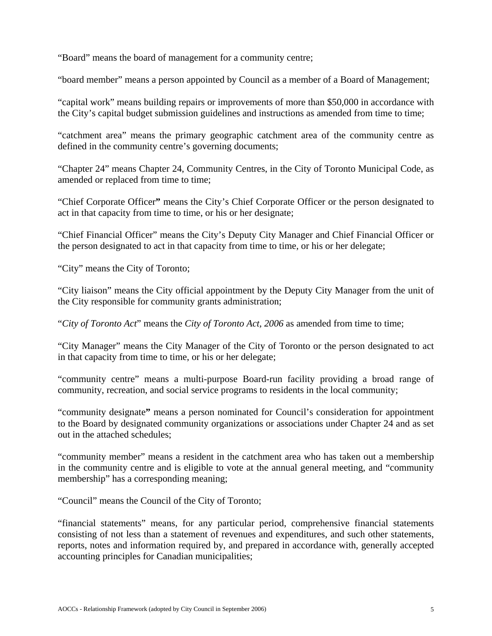"Board" means the board of management for a community centre;

"board member" means a person appointed by Council as a member of a Board of Management;

"capital work" means building repairs or improvements of more than \$50,000 in accordance with the City's capital budget submission guidelines and instructions as amended from time to time;

"catchment area" means the primary geographic catchment area of the community centre as defined in the community centre's governing documents;

"Chapter 24" means Chapter 24, Community Centres, in the City of Toronto Municipal Code, as amended or replaced from time to time;

"Chief Corporate Officer**"** means the City's Chief Corporate Officer or the person designated to act in that capacity from time to time, or his or her designate;

"Chief Financial Officer" means the City's Deputy City Manager and Chief Financial Officer or the person designated to act in that capacity from time to time, or his or her delegate;

"City" means the City of Toronto;

"City liaison" means the City official appointment by the Deputy City Manager from the unit of the City responsible for community grants administration;

"*City of Toronto Act*" means the *City of Toronto Act, 2006* as amended from time to time;

"City Manager" means the City Manager of the City of Toronto or the person designated to act in that capacity from time to time, or his or her delegate;

"community centre" means a multi-purpose Board-run facility providing a broad range of community, recreation, and social service programs to residents in the local community;

"community designate**"** means a person nominated for Council's consideration for appointment to the Board by designated community organizations or associations under Chapter 24 and as set out in the attached schedules;

"community member" means a resident in the catchment area who has taken out a membership in the community centre and is eligible to vote at the annual general meeting, and "community membership" has a corresponding meaning;

"Council" means the Council of the City of Toronto;

"financial statements" means, for any particular period, comprehensive financial statements consisting of not less than a statement of revenues and expenditures, and such other statements, reports, notes and information required by, and prepared in accordance with, generally accepted accounting principles for Canadian municipalities;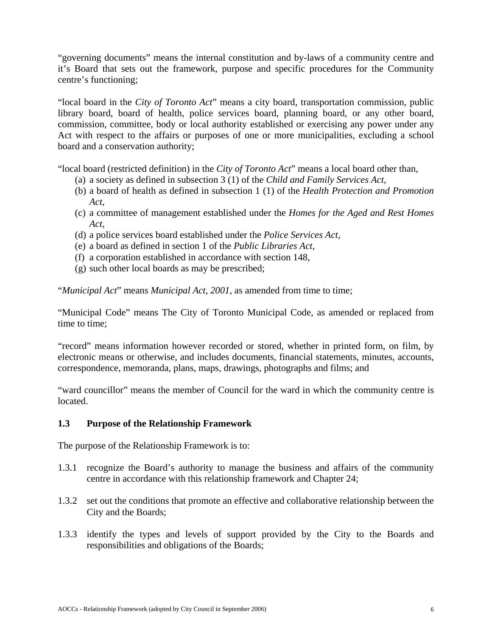"governing documents" means the internal constitution and by-laws of a community centre and it's Board that sets out the framework, purpose and specific procedures for the Community centre's functioning;

"local board in the *City of Toronto Act*" means a city board, transportation commission, public library board, board of health, police services board, planning board, or any other board, commission, committee, body or local authority established or exercising any power under any Act with respect to the affairs or purposes of one or more municipalities, excluding a school board and a conservation authority;

"local board (restricted definition) in the *City of Toronto Act*" means a local board other than,

- (a) a society as defined in subsection 3 (1) of the *Child and Family Services Act*,
- (b) a board of health as defined in subsection 1 (1) of the *Health Protection and Promotion Act*,
- (c) a committee of management established under the *Homes for the Aged and Rest Homes Act*,
- (d) a police services board established under the *Police Services Act*,
- (e) a board as defined in section 1 of the *Public Libraries Act*,
- (f) a corporation established in accordance with section 148,
- (g) such other local boards as may be prescribed;

"*Municipal Act*" means *Municipal Act, 2001*, as amended from time to time;

"Municipal Code" means The City of Toronto Municipal Code, as amended or replaced from time to time;

"record" means information however recorded or stored, whether in printed form, on film, by electronic means or otherwise, and includes documents, financial statements, minutes, accounts, correspondence, memoranda, plans, maps, drawings, photographs and films; and

"ward councillor" means the member of Council for the ward in which the community centre is located.

#### **1.3 Purpose of the Relationship Framework**

The purpose of the Relationship Framework is to:

- 1.3.1 recognize the Board's authority to manage the business and affairs of the community centre in accordance with this relationship framework and Chapter 24;
- 1.3.2 set out the conditions that promote an effective and collaborative relationship between the City and the Boards;
- 1.3.3 identify the types and levels of support provided by the City to the Boards and responsibilities and obligations of the Boards;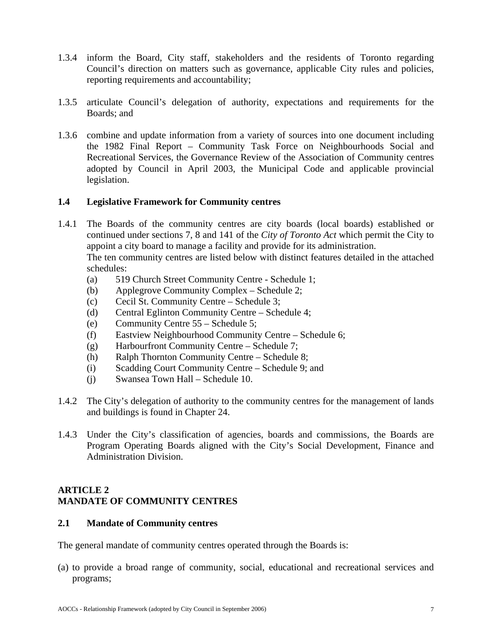- 1.3.4 inform the Board, City staff, stakeholders and the residents of Toronto regarding Council's direction on matters such as governance, applicable City rules and policies, reporting requirements and accountability;
- 1.3.5 articulate Council's delegation of authority, expectations and requirements for the Boards; and
- 1.3.6 combine and update information from a variety of sources into one document including the 1982 Final Report – Community Task Force on Neighbourhoods Social and Recreational Services, the Governance Review of the Association of Community centres adopted by Council in April 2003, the Municipal Code and applicable provincial legislation.

## **1.4 Legislative Framework for Community centres**

- 1.4.1 The Boards of the community centres are city boards (local boards) established or continued under sections 7, 8 and 141 of the *City of Toronto Act* which permit the City to appoint a city board to manage a facility and provide for its administration. The ten community centres are listed below with distinct features detailed in the attached schedules:
	- (a) 519 Church Street Community Centre Schedule 1;
	- (b) Applegrove Community Complex Schedule 2;
	- (c) Cecil St. Community Centre Schedule 3;
	- (d) Central Eglinton Community Centre Schedule 4;
	- (e) Community Centre 55 Schedule 5;
	- (f) Eastview Neighbourhood Community Centre Schedule 6;
	- (g) Harbourfront Community Centre Schedule 7;
	- (h) Ralph Thornton Community Centre Schedule 8;
	- (i) Scadding Court Community Centre Schedule 9; and
	- (j) Swansea Town Hall Schedule 10.
- 1.4.2 The City's delegation of authority to the community centres for the management of lands and buildings is found in Chapter 24.
- 1.4.3 Under the City's classification of agencies, boards and commissions, the Boards are Program Operating Boards aligned with the City's Social Development, Finance and Administration Division.

# **ARTICLE 2 MANDATE OF COMMUNITY CENTRES**

#### **2.1 Mandate of Community centres**

The general mandate of community centres operated through the Boards is:

(a) to provide a broad range of community, social, educational and recreational services and programs;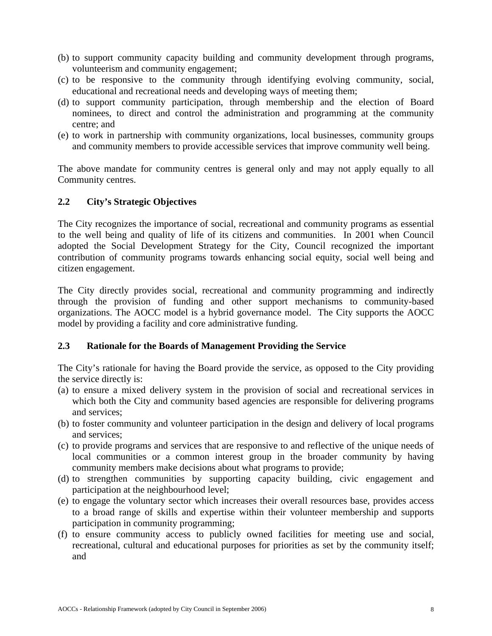- (b) to support community capacity building and community development through programs, volunteerism and community engagement;
- (c) to be responsive to the community through identifying evolving community, social, educational and recreational needs and developing ways of meeting them;
- (d) to support community participation, through membership and the election of Board nominees, to direct and control the administration and programming at the community centre; and
- (e) to work in partnership with community organizations, local businesses, community groups and community members to provide accessible services that improve community well being.

The above mandate for community centres is general only and may not apply equally to all Community centres.

## **2.2 City's Strategic Objectives**

The City recognizes the importance of social, recreational and community programs as essential to the well being and quality of life of its citizens and communities. In 2001 when Council adopted the Social Development Strategy for the City, Council recognized the important contribution of community programs towards enhancing social equity, social well being and citizen engagement.

The City directly provides social, recreational and community programming and indirectly through the provision of funding and other support mechanisms to community-based organizations. The AOCC model is a hybrid governance model. The City supports the AOCC model by providing a facility and core administrative funding.

#### **2.3 Rationale for the Boards of Management Providing the Service**

The City's rationale for having the Board provide the service, as opposed to the City providing the service directly is:

- (a) to ensure a mixed delivery system in the provision of social and recreational services in which both the City and community based agencies are responsible for delivering programs and services;
- (b) to foster community and volunteer participation in the design and delivery of local programs and services;
- (c) to provide programs and services that are responsive to and reflective of the unique needs of local communities or a common interest group in the broader community by having community members make decisions about what programs to provide;
- (d) to strengthen communities by supporting capacity building, civic engagement and participation at the neighbourhood level;
- (e) to engage the voluntary sector which increases their overall resources base, provides access to a broad range of skills and expertise within their volunteer membership and supports participation in community programming;
- (f) to ensure community access to publicly owned facilities for meeting use and social, recreational, cultural and educational purposes for priorities as set by the community itself; and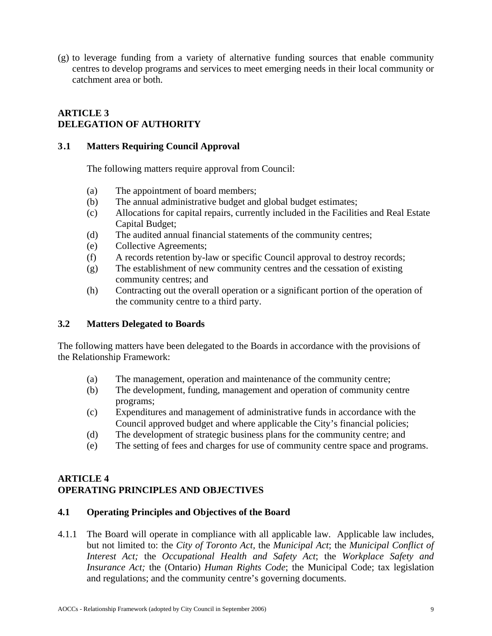(g) to leverage funding from a variety of alternative funding sources that enable community centres to develop programs and services to meet emerging needs in their local community or catchment area or both.

# **ARTICLE 3 DELEGATION OF AUTHORITY**

## **3 .1 Matters Requiring Council Approval**

The following matters require approval from Council:

- (a) The appointment of board members;
- (b) The annual administrative budget and global budget estimates;
- (c) Allocations for capital repairs, currently included in the Facilities and Real Estate Capital Budget;
- (d) The audited annual financial statements of the community centres;
- (e) Collective Agreements;
- (f) A records retention by-law or specific Council approval to destroy records;
- (g) The establishment of new community centres and the cessation of existing community centres; and
- (h) Contracting out the overall operation or a significant portion of the operation of the community centre to a third party.

## **3.2 Matters Delegated to Boards**

The following matters have been delegated to the Boards in accordance with the provisions of the Relationship Framework:

- (a) The management, operation and maintenance of the community centre;
- (b) The development, funding, management and operation of community centre programs;
- (c) Expenditures and management of administrative funds in accordance with the Council approved budget and where applicable the City's financial policies;
- (d) The development of strategic business plans for the community centre; and
- (e) The setting of fees and charges for use of community centre space and programs.

## **ARTICLE 4 OPERATING PRINCIPLES AND OBJECTIVES**

## **4.1 Operating Principles and Objectives of the Board**

4.1.1 The Board will operate in compliance with all applicable law. Applicable law includes, but not limited to: the *City of Toronto Act,* the *Municipal Act*; the *Municipal Conflict of Interest Act;* the *Occupational Health and Safety Act*; the *Workplace Safety and Insurance Act;* the (Ontario) *Human Rights Code*; the Municipal Code; tax legislation and regulations; and the community centre's governing documents.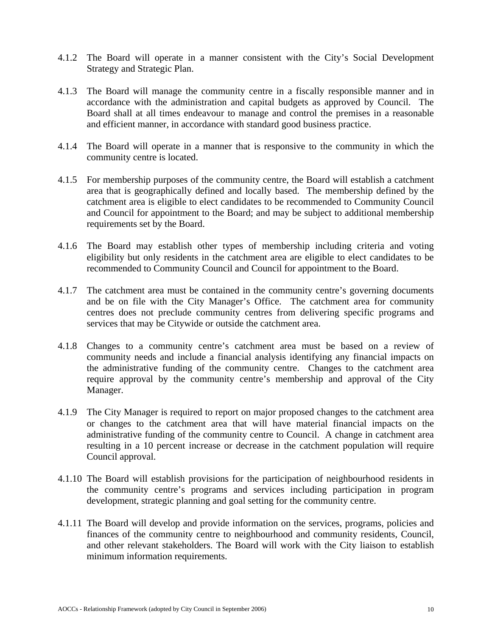- 4.1.2 The Board will operate in a manner consistent with the City's Social Development Strategy and Strategic Plan.
- 4.1.3 The Board will manage the community centre in a fiscally responsible manner and in accordance with the administration and capital budgets as approved by Council. The Board shall at all times endeavour to manage and control the premises in a reasonable and efficient manner, in accordance with standard good business practice.
- 4.1.4 The Board will operate in a manner that is responsive to the community in which the community centre is located.
- 4.1.5 For membership purposes of the community centre, the Board will establish a catchment area that is geographically defined and locally based. The membership defined by the catchment area is eligible to elect candidates to be recommended to Community Council and Council for appointment to the Board; and may be subject to additional membership requirements set by the Board.
- 4.1.6 The Board may establish other types of membership including criteria and voting eligibility but only residents in the catchment area are eligible to elect candidates to be recommended to Community Council and Council for appointment to the Board.
- 4.1.7 The catchment area must be contained in the community centre's governing documents and be on file with the City Manager's Office. The catchment area for community centres does not preclude community centres from delivering specific programs and services that may be Citywide or outside the catchment area.
- 4.1.8 Changes to a community centre's catchment area must be based on a review of community needs and include a financial analysis identifying any financial impacts on the administrative funding of the community centre. Changes to the catchment area require approval by the community centre's membership and approval of the City Manager.
- 4.1.9 The City Manager is required to report on major proposed changes to the catchment area or changes to the catchment area that will have material financial impacts on the administrative funding of the community centre to Council. A change in catchment area resulting in a 10 percent increase or decrease in the catchment population will require Council approval.
- 4.1.10 The Board will establish provisions for the participation of neighbourhood residents in the community centre's programs and services including participation in program development, strategic planning and goal setting for the community centre.
- 4.1.11 The Board will develop and provide information on the services, programs, policies and finances of the community centre to neighbourhood and community residents, Council, and other relevant stakeholders. The Board will work with the City liaison to establish minimum information requirements.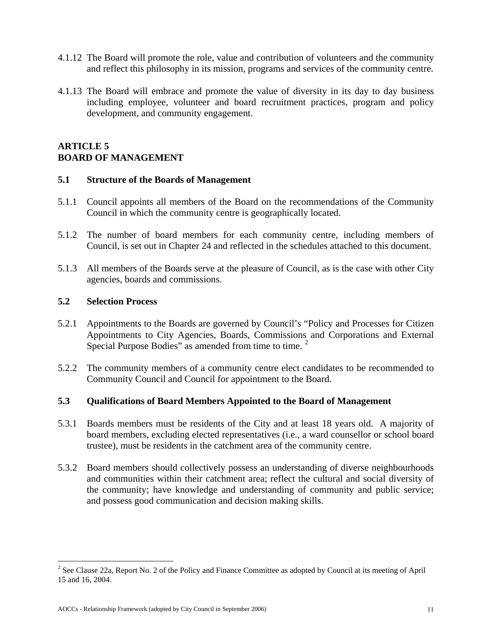- 4.1.12 The Board will promote the role, value and contribution of volunteers and the community and reflect this philosophy in its mission, programs and services of the community centre.
- 4.1.13 The Board will embrace and promote the value of diversity in its day to day business including employee, volunteer and board recruitment practices, program and policy development, and community engagement.

# **ARTICLE 5 BOARD OF MANAGEMENT**

#### **5.1 Structure of the Boards of Management**

- 5.1.1 Council appoints all members of the Board on the recommendations of the Community Council in which the community centre is geographically located.
- 5.1.2 The number of board members for each community centre, including members of Council, is set out in Chapter 24 and reflected in the schedules attached to this document.
- 5.1.3 All members of the Boards serve at the pleasure of Council, as is the case with other City agencies, boards and commissions.

## **5.2 Selection Process**

 $\overline{a}$ 

- 5.2.1 Appointments to the Boards are governed by Council's "Policy and Processes for Citizen Appointments to City Agencies, Boards, Commissions and Corporations and External Special Purpose Bodies" as amended from time to time.<sup>[2](#page-10-0)</sup>
- 5.2.2 The community members of a community centre elect candidates to be recommended to Community Council and Council for appointment to the Board.

#### **5.3 Qualifications of Board Members Appointed to the Board of Management**

- 5.3.1 Boards members must be residents of the City and at least 18 years old. A majority of board members, excluding elected representatives (i.e., a ward counsellor or school board trustee), must be residents in the catchment area of the community centre.
- 5.3.2 Board members should collectively possess an understanding of diverse neighbourhoods and communities within their catchment area; reflect the cultural and social diversity of the community; have knowledge and understanding of community and public service; and possess good communication and decision making skills.

<span id="page-10-0"></span><sup>&</sup>lt;sup>2</sup> See Clause 22a, Report No. 2 of the Policy and Finance Committee as adopted by Council at its meeting of April 15 and 16, 2004.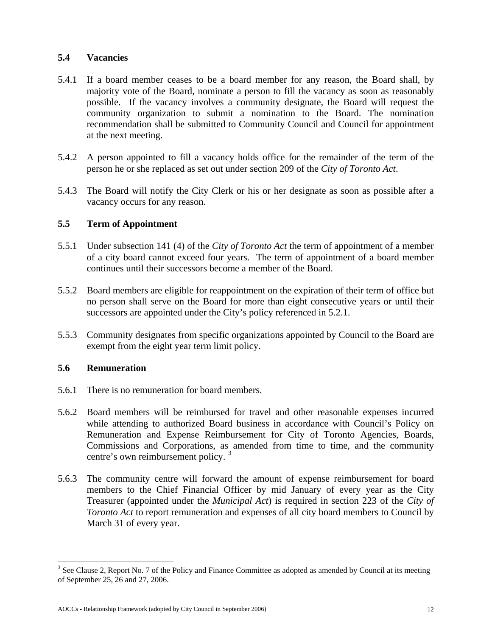## **5.4 Vacancies**

- 5.4.1 If a board member ceases to be a board member for any reason, the Board shall, by majority vote of the Board, nominate a person to fill the vacancy as soon as reasonably possible. If the vacancy involves a community designate, the Board will request the community organization to submit a nomination to the Board. The nomination recommendation shall be submitted to Community Council and Council for appointment at the next meeting.
- 5.4.2 A person appointed to fill a vacancy holds office for the remainder of the term of the person he or she replaced as set out under section 209 of the *City of Toronto Act*.
- 5.4.3 The Board will notify the City Clerk or his or her designate as soon as possible after a vacancy occurs for any reason.

#### **5.5 Term of Appointment**

- 5.5.1 Under subsection 141 (4) of the *City of Toronto Act* the term of appointment of a member of a city board cannot exceed four years. The term of appointment of a board member continues until their successors become a member of the Board.
- 5.5.2 Board members are eligible for reappointment on the expiration of their term of office but no person shall serve on the Board for more than eight consecutive years or until their successors are appointed under the City's policy referenced in 5.2.1.
- 5.5.3 Community designates from specific organizations appointed by Council to the Board are exempt from the eight year term limit policy.

#### **5.6 Remuneration**

 $\overline{a}$ 

- 5.6.1 There is no remuneration for board members.
- 5.6.2 Board members will be reimbursed for travel and other reasonable expenses incurred while attending to authorized Board business in accordance with Council's Policy on Remuneration and Expense Reimbursement for City of Toronto Agencies, Boards, Commissions and Corporations, as amended from time to time, and the community centre's own reimbursement policy.<sup>[3](#page-11-0)</sup>
- 5.6.3 The community centre will forward the amount of expense reimbursement for board members to the Chief Financial Officer by mid January of every year as the City Treasurer (appointed under the *Municipal Act*) is required in section 223 of the *City of Toronto Act* to report remuneration and expenses of all city board members to Council by March 31 of every year.

<span id="page-11-0"></span> $3$  See Clause 2, Report No. 7 of the Policy and Finance Committee as adopted as amended by Council at its meeting of September 25, 26 and 27, 2006.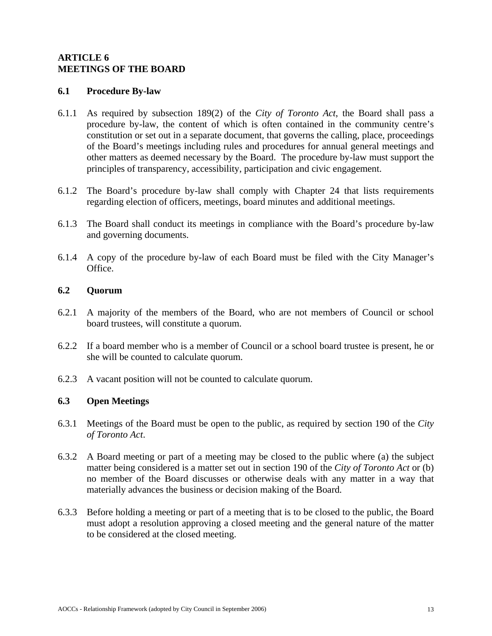## **ARTICLE 6 MEETINGS OF THE BOARD**

#### **6.1 Procedure By-law**

- 6.1.1 As required by subsection 189(2) of the *City of Toronto Act*, the Board shall pass a procedure by-law, the content of which is often contained in the community centre's constitution or set out in a separate document, that governs the calling, place, proceedings of the Board's meetings including rules and procedures for annual general meetings and other matters as deemed necessary by the Board. The procedure by-law must support the principles of transparency, accessibility, participation and civic engagement.
- 6.1.2 The Board's procedure by-law shall comply with Chapter 24 that lists requirements regarding election of officers, meetings, board minutes and additional meetings.
- 6.1.3 The Board shall conduct its meetings in compliance with the Board's procedure by-law and governing documents.
- 6.1.4 A copy of the procedure by-law of each Board must be filed with the City Manager's Office.

#### **6.2 Quorum**

- 6.2.1 A majority of the members of the Board, who are not members of Council or school board trustees, will constitute a quorum.
- 6.2.2 If a board member who is a member of Council or a school board trustee is present, he or she will be counted to calculate quorum.
- 6.2.3 A vacant position will not be counted to calculate quorum.

#### **6.3 Open Meetings**

- 6.3.1 Meetings of the Board must be open to the public, as required by section 190 of the *City of Toronto Act*.
- 6.3.2 A Board meeting or part of a meeting may be closed to the public where (a) the subject matter being considered is a matter set out in section 190 of the *City of Toronto Act* or (b) no member of the Board discusses or otherwise deals with any matter in a way that materially advances the business or decision making of the Board*.*
- 6.3.3 Before holding a meeting or part of a meeting that is to be closed to the public, the Board must adopt a resolution approving a closed meeting and the general nature of the matter to be considered at the closed meeting.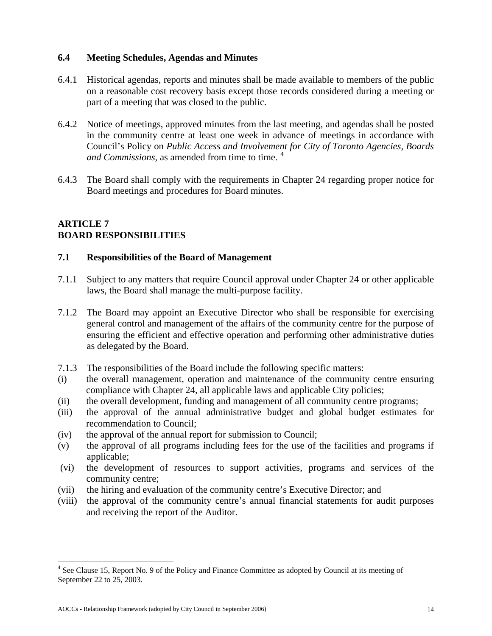#### **6.4 Meeting Schedules, Agendas and Minutes**

- 6.4.1 Historical agendas, reports and minutes shall be made available to members of the public on a reasonable cost recovery basis except those records considered during a meeting or part of a meeting that was closed to the public.
- 6.4.2 Notice of meetings, approved minutes from the last meeting, and agendas shall be posted in the community centre at least one week in advance of meetings in accordance with Council's Policy on *Public Access and Involvement for City of Toronto Agencies, Boards and Commissions*, as amended from time to time. [4](#page-13-0)
- 6.4.3 The Board shall comply with the requirements in Chapter 24 regarding proper notice for Board meetings and procedures for Board minutes.

## **ARTICLE 7 BOARD RESPONSIBILITIES**

## **7.1 Responsibilities of the Board of Management**

- 7.1.1 Subject to any matters that require Council approval under Chapter 24 or other applicable laws, the Board shall manage the multi-purpose facility.
- 7.1.2 The Board may appoint an Executive Director who shall be responsible for exercising general control and management of the affairs of the community centre for the purpose of ensuring the efficient and effective operation and performing other administrative duties as delegated by the Board.
- 7.1.3 The responsibilities of the Board include the following specific matters:
- (i) the overall management, operation and maintenance of the community centre ensuring compliance with Chapter 24, all applicable laws and applicable City policies;
- (ii) the overall development, funding and management of all community centre programs;
- (iii) the approval of the annual administrative budget and global budget estimates for recommendation to Council;
- (iv) the approval of the annual report for submission to Council;
- (v) the approval of all programs including fees for the use of the facilities and programs if applicable;
- (vi) the development of resources to support activities, programs and services of the community centre;
- (vii) the hiring and evaluation of the community centre's Executive Director; and
- (viii) the approval of the community centre's annual financial statements for audit purposes and receiving the report of the Auditor.

 $\overline{a}$ 

<span id="page-13-0"></span><sup>&</sup>lt;sup>4</sup> See Clause 15, Report No. 9 of the Policy and Finance Committee as adopted by Council at its meeting of September 22 to 25, 2003.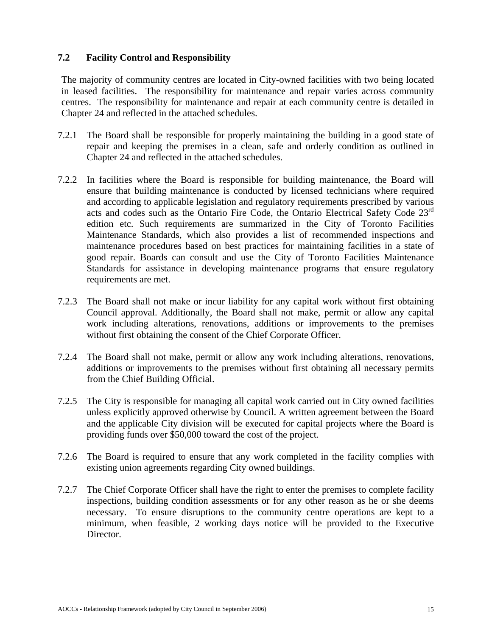## **7.2 Facility Control and Responsibility**

 The majority of community centres are located in City-owned facilities with two being located in leased facilities. The responsibility for maintenance and repair varies across community centres. The responsibility for maintenance and repair at each community centre is detailed in Chapter 24 and reflected in the attached schedules.

- 7.2.1 The Board shall be responsible for properly maintaining the building in a good state of repair and keeping the premises in a clean, safe and orderly condition as outlined in Chapter 24 and reflected in the attached schedules.
- 7.2.2 In facilities where the Board is responsible for building maintenance, the Board will ensure that building maintenance is conducted by licensed technicians where required and according to applicable legislation and regulatory requirements prescribed by various acts and codes such as the Ontario Fire Code, the Ontario Electrical Safety Code 23<sup>rd</sup> edition etc. Such requirements are summarized in the City of Toronto Facilities Maintenance Standards, which also provides a list of recommended inspections and maintenance procedures based on best practices for maintaining facilities in a state of good repair. Boards can consult and use the City of Toronto Facilities Maintenance Standards for assistance in developing maintenance programs that ensure regulatory requirements are met.
- 7.2.3 The Board shall not make or incur liability for any capital work without first obtaining Council approval. Additionally, the Board shall not make, permit or allow any capital work including alterations, renovations, additions or improvements to the premises without first obtaining the consent of the Chief Corporate Officer.
- 7.2.4 The Board shall not make, permit or allow any work including alterations, renovations, additions or improvements to the premises without first obtaining all necessary permits from the Chief Building Official.
- 7.2.5 The City is responsible for managing all capital work carried out in City owned facilities unless explicitly approved otherwise by Council. A written agreement between the Board and the applicable City division will be executed for capital projects where the Board is providing funds over \$50,000 toward the cost of the project.
- 7.2.6 The Board is required to ensure that any work completed in the facility complies with existing union agreements regarding City owned buildings.
- 7.2.7 The Chief Corporate Officer shall have the right to enter the premises to complete facility inspections, building condition assessments or for any other reason as he or she deems necessary. To ensure disruptions to the community centre operations are kept to a minimum, when feasible, 2 working days notice will be provided to the Executive Director.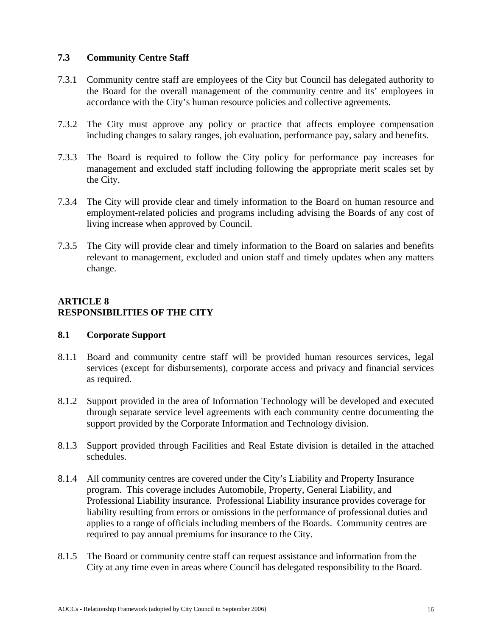## **7.3 Community Centre Staff**

- 7.3.1 Community centre staff are employees of the City but Council has delegated authority to the Board for the overall management of the community centre and its' employees in accordance with the City's human resource policies and collective agreements.
- 7.3.2 The City must approve any policy or practice that affects employee compensation including changes to salary ranges, job evaluation, performance pay, salary and benefits.
- 7.3.3 The Board is required to follow the City policy for performance pay increases for management and excluded staff including following the appropriate merit scales set by the City.
- 7.3.4 The City will provide clear and timely information to the Board on human resource and employment-related policies and programs including advising the Boards of any cost of living increase when approved by Council.
- 7.3.5 The City will provide clear and timely information to the Board on salaries and benefits relevant to management, excluded and union staff and timely updates when any matters change.

## **ARTICLE 8 RESPONSIBILITIES OF THE CITY**

#### **8.1 Corporate Support**

- 8.1.1 Board and community centre staff will be provided human resources services, legal services (except for disbursements), corporate access and privacy and financial services as required.
- 8.1.2 Support provided in the area of Information Technology will be developed and executed through separate service level agreements with each community centre documenting the support provided by the Corporate Information and Technology division.
- 8.1.3 Support provided through Facilities and Real Estate division is detailed in the attached schedules.
- 8.1.4 All community centres are covered under the City's Liability and Property Insurance program. This coverage includes Automobile, Property, General Liability, and Professional Liability insurance. Professional Liability insurance provides coverage for liability resulting from errors or omissions in the performance of professional duties and applies to a range of officials including members of the Boards. Community centres are required to pay annual premiums for insurance to the City.
- 8.1.5 The Board or community centre staff can request assistance and information from the City at any time even in areas where Council has delegated responsibility to the Board.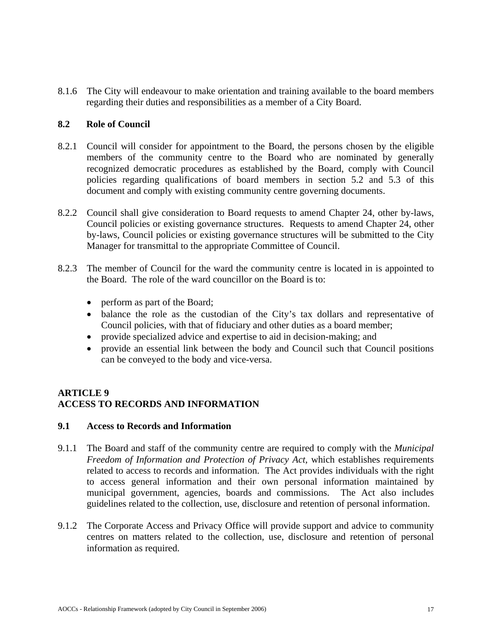8.1.6 The City will endeavour to make orientation and training available to the board members regarding their duties and responsibilities as a member of a City Board.

## **8.2 Role of Council**

- 8.2.1 Council will consider for appointment to the Board, the persons chosen by the eligible members of the community centre to the Board who are nominated by generally recognized democratic procedures as established by the Board, comply with Council policies regarding qualifications of board members in section 5.2 and 5.3 of this document and comply with existing community centre governing documents.
- 8.2.2 Council shall give consideration to Board requests to amend Chapter 24, other by-laws, Council policies or existing governance structures. Requests to amend Chapter 24, other by-laws, Council policies or existing governance structures will be submitted to the City Manager for transmittal to the appropriate Committee of Council.
- 8.2.3 The member of Council for the ward the community centre is located in is appointed to the Board. The role of the ward councillor on the Board is to:
	- perform as part of the Board;
	- balance the role as the custodian of the City's tax dollars and representative of Council policies, with that of fiduciary and other duties as a board member;
	- provide specialized advice and expertise to aid in decision-making; and
	- provide an essential link between the body and Council such that Council positions can be conveyed to the body and vice-versa.

## **ARTICLE 9 ACCESS TO RECORDS AND INFORMATION**

#### **9.1 Access to Records and Information**

- 9.1.1 The Board and staff of the community centre are required to comply with the *Municipal Freedom of Information and Protection of Privacy Act,* which establishes requirements related to access to records and information.The Act provides individuals with the right to access general information and their own personal information maintained by municipal government, agencies, boards and commissions. The Act also includes guidelines related to the collection, use, disclosure and retention of personal information.
- 9.1.2 The Corporate Access and Privacy Office will provide support and advice to community centres on matters related to the collection, use, disclosure and retention of personal information as required.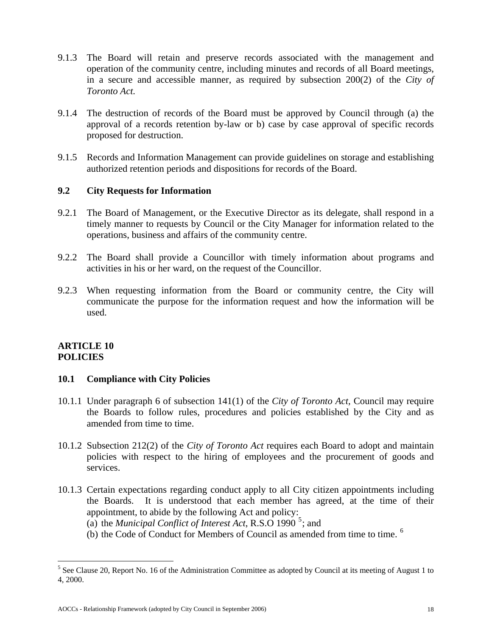- 9.1.3 The Board will retain and preserve records associated with the management and operation of the community centre, including minutes and records of all Board meetings, in a secure and accessible manner, as required by subsection 200(2) of the *City of Toronto Act.*
- 9.1.4 The destruction of records of the Board must be approved by Council through (a) the approval of a records retention by-law or b) case by case approval of specific records proposed for destruction.
- 9.1.5 Records and Information Management can provide guidelines on storage and establishing authorized retention periods and dispositions for records of the Board.

## **9.2 City Requests for Information**

- 9.2.1 The Board of Management, or the Executive Director as its delegate, shall respond in a timely manner to requests by Council or the City Manager for information related to the operations, business and affairs of the community centre.
- 9.2.2 The Board shall provide a Councillor with timely information about programs and activities in his or her ward, on the request of the Councillor.
- 9.2.3 When requesting information from the Board or community centre, the City will communicate the purpose for the information request and how the information will be used.

#### **ARTICLE 10 POLICIES**

1

## **10.1 Compliance with City Policies**

- 10.1.1 Under paragraph 6 of subsection 141(1) of the *City of Toronto Act,* Council may require the Boards to follow rules, procedures and policies established by the City and as amended from time to time.
- 10.1.2 Subsection 212(2) of the *City of Toronto Act* requires each Board to adopt and maintain policies with respect to the hiring of employees and the procurement of goods and services.
- 10.1.3 Certain expectations regarding conduct apply to all City citizen appointments including the Boards. It is understood that each member has agreed, at the time of their appointment, to abide by the following Act and policy:
	- (a) the *Municipal Conflict of Interest Act*, R.S.O 1990<sup>[5](#page-17-0)</sup>; and
	- (b) the Code of Conduct for Members of Council as amended from time to time. [6](#page-17-0)

<span id="page-17-0"></span><sup>&</sup>lt;sup>5</sup> See Clause 20, Report No. 16 of the Administration Committee as adopted by Council at its meeting of August 1 to 4, 2000.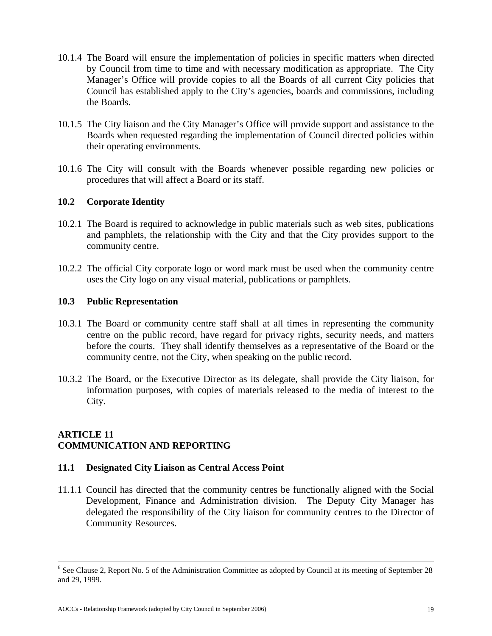- 10.1.4 The Board will ensure the implementation of policies in specific matters when directed by Council from time to time and with necessary modification as appropriate. The City Manager's Office will provide copies to all the Boards of all current City policies that Council has established apply to the City's agencies, boards and commissions, including the Boards.
- 10.1.5 The City liaison and the City Manager's Office will provide support and assistance to the Boards when requested regarding the implementation of Council directed policies within their operating environments.
- 10.1.6 The City will consult with the Boards whenever possible regarding new policies or procedures that will affect a Board or its staff.

#### **10.2 Corporate Identity**

- 10.2.1 The Board is required to acknowledge in public materials such as web sites, publications and pamphlets, the relationship with the City and that the City provides support to the community centre.
- 10.2.2 The official City corporate logo or word mark must be used when the community centre uses the City logo on any visual material, publications or pamphlets.

## **10.3 Public Representation**

- 10.3.1 The Board or community centre staff shall at all times in representing the community centre on the public record, have regard for privacy rights, security needs, and matters before the courts. They shall identify themselves as a representative of the Board or the community centre, not the City, when speaking on the public record.
- 10.3 .2 The Board, or the Executive Director as its delegate, shall provide the City liaison, for information purposes, with copies of materials released to the media of interest to the City.

## **ARTICLE 11 COMMUNICATION AND REPORTING**

## **11.1 Designated City Liaison as Central Access Point**

11.1.1 Council has directed that the community centres be functionally aligned with the Social Development, Finance and Administration division. The Deputy City Manager has delegated the responsibility of the City liaison for community centres to the Director of Community Resources.

 $\frac{1}{6}$  $<sup>6</sup>$  See Clause 2, Report No. 5 of the Administration Committee as adopted by Council at its meeting of September 28</sup> and 29, 1999.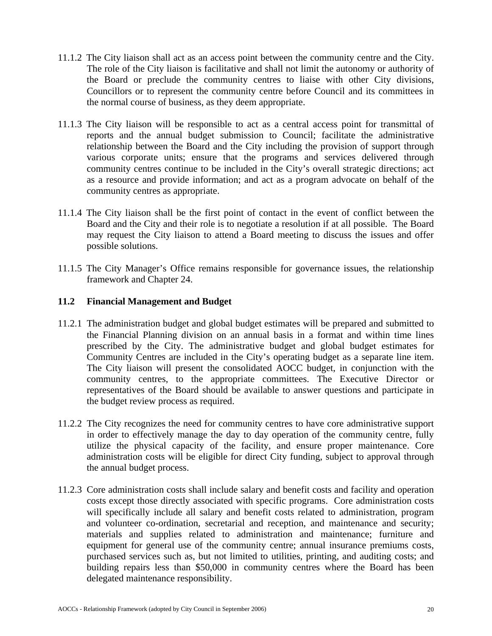- 11.1.2 The City liaison shall act as an access point between the community centre and the City. The role of the City liaison is facilitative and shall not limit the autonomy or authority of the Board or preclude the community centres to liaise with other City divisions, Councillors or to represent the community centre before Council and its committees in the normal course of business, as they deem appropriate.
- 11.1.3 The City liaison will be responsible to act as a central access point for transmittal of reports and the annual budget submission to Council; facilitate the administrative relationship between the Board and the City including the provision of support through various corporate units; ensure that the programs and services delivered through community centres continue to be included in the City's overall strategic directions; act as a resource and provide information; and act as a program advocate on behalf of the community centres as appropriate.
- 11.1.4 The City liaison shall be the first point of contact in the event of conflict between the Board and the City and their role is to negotiate a resolution if at all possible. The Board may request the City liaison to attend a Board meeting to discuss the issues and offer possible solutions.
- 11.1.5 The City Manager's Office remains responsible for governance issues, the relationship framework and Chapter 24.

## **11.2 Financial Management and Budget**

- 11.2.1 The administration budget and global budget estimates will be prepared and submitted to the Financial Planning division on an annual basis in a format and within time lines prescribed by the City. The administrative budget and global budget estimates for Community Centres are included in the City's operating budget as a separate line item. The City liaison will present the consolidated AOCC budget, in conjunction with the community centres, to the appropriate committees. The Executive Director or representatives of the Board should be available to answer questions and participate in the budget review process as required.
- 11.2.2 The City recognizes the need for community centres to have core administrative support in order to effectively manage the day to day operation of the community centre, fully utilize the physical capacity of the facility, and ensure proper maintenance. Core administration costs will be eligible for direct City funding, subject to approval through the annual budget process.
- 11.2.3 Core administration costs shall include salary and benefit costs and facility and operation costs except those directly associated with specific programs. Core administration costs will specifically include all salary and benefit costs related to administration, program and volunteer co-ordination, secretarial and reception, and maintenance and security; materials and supplies related to administration and maintenance; furniture and equipment for general use of the community centre; annual insurance premiums costs, purchased services such as, but not limited to utilities, printing, and auditing costs; and building repairs less than \$50,000 in community centres where the Board has been delegated maintenance responsibility.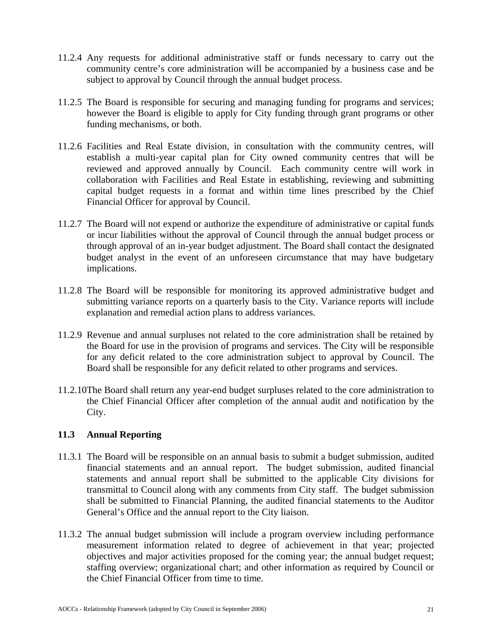- 11.2.4 Any requests for additional administrative staff or funds necessary to carry out the community centre's core administration will be accompanied by a business case and be subject to approval by Council through the annual budget process.
- 11.2.5 The Board is responsible for securing and managing funding for programs and services; however the Board is eligible to apply for City funding through grant programs or other funding mechanisms, or both.
- 11.2.6 Facilities and Real Estate division, in consultation with the community centres, will establish a multi-year capital plan for City owned community centres that will be reviewed and approved annually by Council. Each community centre will work in collaboration with Facilities and Real Estate in establishing, reviewing and submitting capital budget requests in a format and within time lines prescribed by the Chief Financial Officer for approval by Council.
- 11.2.7 The Board will not expend or authorize the expenditure of administrative or capital funds or incur liabilities without the approval of Council through the annual budget process or through approval of an in-year budget adjustment. The Board shall contact the designated budget analyst in the event of an unforeseen circumstance that may have budgetary implications.
- 11.2.8 The Board will be responsible for monitoring its approved administrative budget and submitting variance reports on a quarterly basis to the City. Variance reports will include explanation and remedial action plans to address variances.
- 11.2.9 Revenue and annual surpluses not related to the core administration shall be retained by the Board for use in the provision of programs and services. The City will be responsible for any deficit related to the core administration subject to approval by Council. The Board shall be responsible for any deficit related to other programs and services.
- 11.2.10The Board shall return any year-end budget surpluses related to the core administration to the Chief Financial Officer after completion of the annual audit and notification by the City.

# **11.3 Annual Reporting**

- 11.3.1 The Board will be responsible on an annual basis to submit a budget submission, audited financial statements and an annual report. The budget submission, audited financial statements and annual report shall be submitted to the applicable City divisions for transmittal to Council along with any comments from City staff. The budget submission shall be submitted to Financial Planning, the audited financial statements to the Auditor General's Office and the annual report to the City liaison.
- 11.3.2 The annual budget submission will include a program overview including performance measurement information related to degree of achievement in that year; projected objectives and major activities proposed for the coming year; the annual budget request; staffing overview; organizational chart; and other information as required by Council or the Chief Financial Officer from time to time.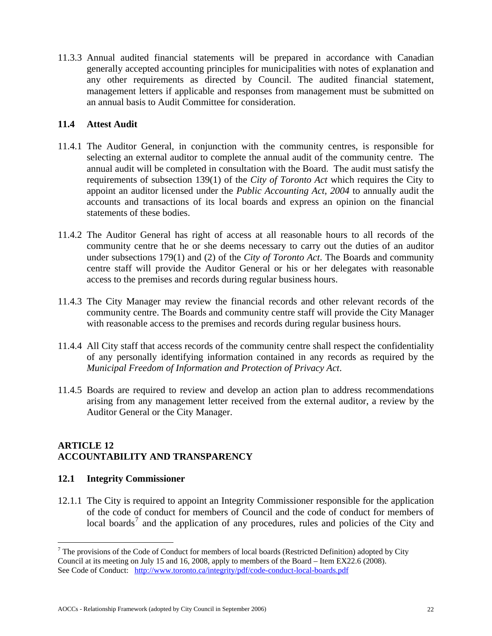11.3.3 Annual audited financial statements will be prepared in accordance with Canadian generally accepted accounting principles for municipalities with notes of explanation and any other requirements as directed by Council. The audited financial statement, management letters if applicable and responses from management must be submitted on an annual basis to Audit Committee for consideration.

#### **11.4 Attest Audit**

- 11.4.1 The Auditor General, in conjunction with the community centres, is responsible for selecting an external auditor to complete the annual audit of the community centre. The annual audit will be completed in consultation with the Board. The audit must satisfy the requirements of subsection 139(1) of the *City of Toronto Act* which requires the City to appoint an auditor licensed under the *Public Accounting Act, 2004* to annually audit the accounts and transactions of its local boards and express an opinion on the financial statements of these bodies.
- 11.4.2 The Auditor General has right of access at all reasonable hours to all records of the community centre that he or she deems necessary to carry out the duties of an auditor under subsections 179(1) and (2) of the *City of Toronto Act*. The Boards and community centre staff will provide the Auditor General or his or her delegates with reasonable access to the premises and records during regular business hours.
- 11.4.3 The City Manager may review the financial records and other relevant records of the community centre. The Boards and community centre staff will provide the City Manager with reasonable access to the premises and records during regular business hours.
- 11.4.4 All City staff that access records of the community centre shall respect the confidentiality of any personally identifying information contained in any records as required by the *Municipal Freedom of Information and Protection of Privacy Act*.
- 11.4.5 Boards are required to review and develop an action plan to address recommendations arising from any management letter received from the external auditor, a review by the Auditor General or the City Manager.

## **ARTICLE 12 ACCOUNTABILITY AND TRANSPARENCY**

#### **12.1 Integrity Commissioner**

 $\overline{a}$ 

12.1.1 The City is required to appoint an Integrity Commissioner responsible for the application of the code of conduct for members of Council and the code of conduct for members of local boards<sup>[7](#page-21-0)</sup> and the application of any procedures, rules and policies of the City and

<span id="page-21-0"></span> $7$  The provisions of the Code of Conduct for members of local boards (Restricted Definition) adopted by City Council at its meeting on July 15 and 16, 2008, apply to members of the Board – Item EX22.6 (2008). See Code of Conduct: <http://www.toronto.ca/integrity/pdf/code-conduct-local-boards.pdf>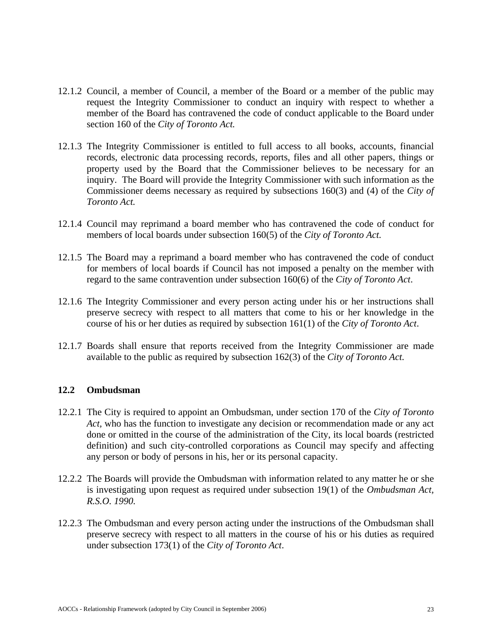- 12.1.2 Council, a member of Council, a member of the Board or a member of the public may request the Integrity Commissioner to conduct an inquiry with respect to whether a member of the Board has contravened the code of conduct applicable to the Board under section 160 of the *City of Toronto Act.*
- 12.1.3 The Integrity Commissioner is entitled to full access to all books, accounts, financial records, electronic data processing records, reports, files and all other papers, things or property used by the Board that the Commissioner believes to be necessary for an inquiry. The Board will provide the Integrity Commissioner with such information as the Commissioner deems necessary as required by subsections 160(3) and (4) of the *City of Toronto Act.*
- 12.1.4 Council may reprimand a board member who has contravened the code of conduct for members of local boards under subsection 160(5) of the *City of Toronto Act.*
- 12.1.5 The Board may a reprimand a board member who has contravened the code of conduct for members of local boards if Council has not imposed a penalty on the member with regard to the same contravention under subsection 160(6) of the *City of Toronto Act*.
- 12.1.6 The Integrity Commissioner and every person acting under his or her instructions shall preserve secrecy with respect to all matters that come to his or her knowledge in the course of his or her duties as required by subsection 161(1) of the *City of Toronto Act*.
- 12.1.7 Boards shall ensure that reports received from the Integrity Commissioner are made available to the public as required by subsection 162(3) of the *City of Toronto Act.*

#### **12.2 Ombudsman**

- 12.2.1 The City is required to appoint an Ombudsman, under section 170 of the *City of Toronto Act,* who has the function to investigate any decision or recommendation made or any act done or omitted in the course of the administration of the City, its local boards (restricted definition) and such city-controlled corporations as Council may specify and affecting any person or body of persons in his, her or its personal capacity.
- 12.2.2 The Boards will provide the Ombudsman with information related to any matter he or she is investigating upon request as required under subsection 19(1) of the *Ombudsman Act, R.S.O. 1990.*
- 12.2.3 The Ombudsman and every person acting under the instructions of the Ombudsman shall preserve secrecy with respect to all matters in the course of his or his duties as required under subsection 173(1) of the *City of Toronto Act*.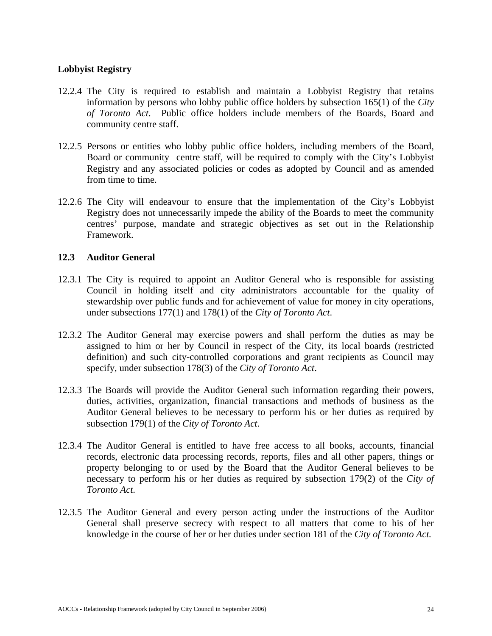## **Lobbyist Registry**

- 12.2.4 The City is required to establish and maintain a Lobbyist Registry that retains information by persons who lobby public office holders by subsection 165(1) of the *City of Toronto Act*. Public office holders include members of the Boards, Board and community centre staff.
- 12.2.5 Persons or entities who lobby public office holders, including members of the Board, Board or community centre staff, will be required to comply with the City's Lobbyist Registry and any associated policies or codes as adopted by Council and as amended from time to time.
- 12.2.6 The City will endeavour to ensure that the implementation of the City's Lobbyist Registry does not unnecessarily impede the ability of the Boards to meet the community centres' purpose, mandate and strategic objectives as set out in the Relationship Framework.

#### **12.3 Auditor General**

- 12.3.1 The City is required to appoint an Auditor General who is responsible for assisting Council in holding itself and city administrators accountable for the quality of stewardship over public funds and for achievement of value for money in city operations, under subsections 177(1) and 178(1) of the *City of Toronto Act*.
- 12.3.2 The Auditor General may exercise powers and shall perform the duties as may be assigned to him or her by Council in respect of the City, its local boards (restricted definition) and such city-controlled corporations and grant recipients as Council may specify, under subsection 178(3) of the *City of Toronto Act*.
- 12.3.3 The Boards will provide the Auditor General such information regarding their powers, duties, activities, organization, financial transactions and methods of business as the Auditor General believes to be necessary to perform his or her duties as required by subsection 179(1) of the *City of Toronto Act*.
- 12.3.4 The Auditor General is entitled to have free access to all books, accounts, financial records, electronic data processing records, reports, files and all other papers, things or property belonging to or used by the Board that the Auditor General believes to be necessary to perform his or her duties as required by subsection 179(2) of the *City of Toronto Act.*
- 12.3.5 The Auditor General and every person acting under the instructions of the Auditor General shall preserve secrecy with respect to all matters that come to his of her knowledge in the course of her or her duties under section 181 of the *City of Toronto Act.*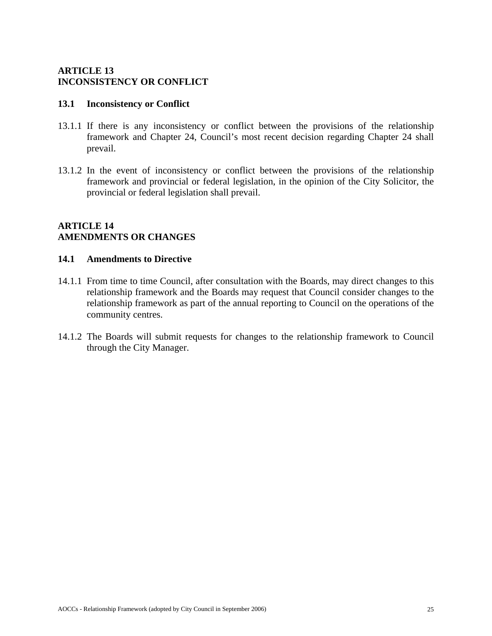## **ARTICLE 13 INCONSISTENCY OR CONFLICT**

#### **13.1 Inconsistency or Conflict**

- 13.1.1 If there is any inconsistency or conflict between the provisions of the relationship framework and Chapter 24, Council's most recent decision regarding Chapter 24 shall prevail.
- 13.1.2 In the event of inconsistency or conflict between the provisions of the relationship framework and provincial or federal legislation, in the opinion of the City Solicitor, the provincial or federal legislation shall prevail.

## **ARTICLE 14 AMENDMENTS OR CHANGES**

#### **14.1 Amendments to Directive**

- 14.1.1 From time to time Council, after consultation with the Boards, may direct changes to this relationship framework and the Boards may request that Council consider changes to the relationship framework as part of the annual reporting to Council on the operations of the community centres.
- 14.1.2 The Boards will submit requests for changes to the relationship framework to Council through the City Manager.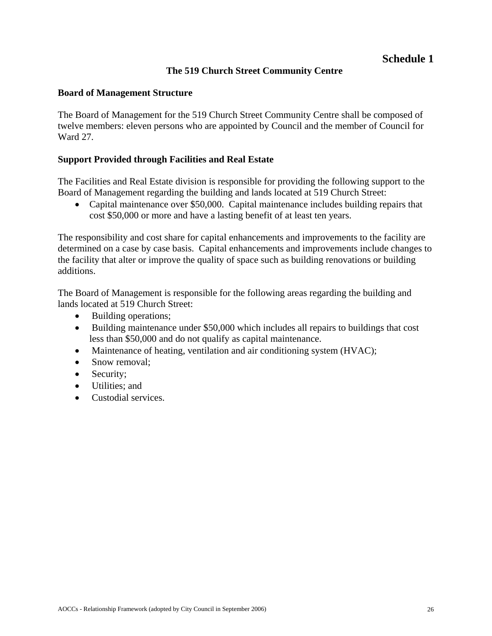## **The 519 Church Street Community Centre**

#### **Board of Management Structure**

The Board of Management for the 519 Church Street Community Centre shall be composed of twelve members: eleven persons who are appointed by Council and the member of Council for Ward 27.

#### **Support Provided through Facilities and Real Estate**

The Facilities and Real Estate division is responsible for providing the following support to the Board of Management regarding the building and lands located at 519 Church Street:

 Capital maintenance over \$50,000. Capital maintenance includes building repairs that cost \$50,000 or more and have a lasting benefit of at least ten years.

The responsibility and cost share for capital enhancements and improvements to the facility are determined on a case by case basis. Capital enhancements and improvements include changes to the facility that alter or improve the quality of space such as building renovations or building additions.

The Board of Management is responsible for the following areas regarding the building and lands located at 519 Church Street:

- Building operations;
- Building maintenance under \$50,000 which includes all repairs to buildings that cost less than \$50,000 and do not qualify as capital maintenance.
- Maintenance of heating, ventilation and air conditioning system (HVAC);
- Snow removal;
- Security;
- Utilities; and
- Custodial services.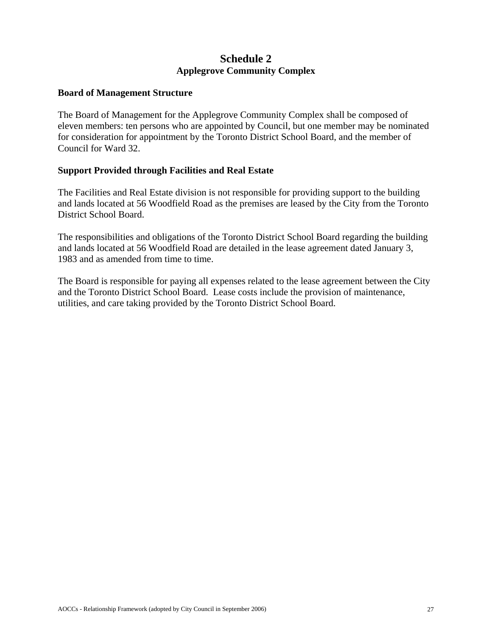# **Schedule 2 Applegrove Community Complex**

#### **Board of Management Structure**

The Board of Management for the Applegrove Community Complex shall be composed of eleven members: ten persons who are appointed by Council, but one member may be nominated for consideration for appointment by the Toronto District School Board, and the member of Council for Ward 32.

#### **Support Provided through Facilities and Real Estate**

The Facilities and Real Estate division is not responsible for providing support to the building and lands located at 56 Woodfield Road as the premises are leased by the City from the Toronto District School Board.

The responsibilities and obligations of the Toronto District School Board regarding the building and lands located at 56 Woodfield Road are detailed in the lease agreement dated January 3, 1983 and as amended from time to time.

The Board is responsible for paying all expenses related to the lease agreement between the City and the Toronto District School Board. Lease costs include the provision of maintenance, utilities, and care taking provided by the Toronto District School Board.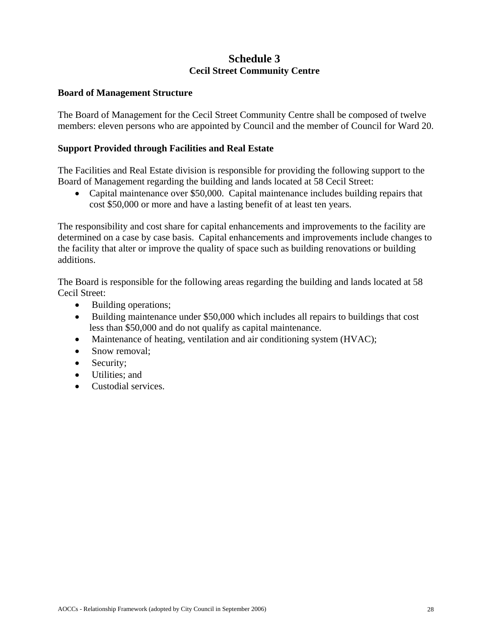# **Schedule 3 Cecil Street Community Centre**

## **Board of Management Structure**

The Board of Management for the Cecil Street Community Centre shall be composed of twelve members: eleven persons who are appointed by Council and the member of Council for Ward 20.

## **Support Provided through Facilities and Real Estate**

The Facilities and Real Estate division is responsible for providing the following support to the Board of Management regarding the building and lands located at 58 Cecil Street:

• Capital maintenance over \$50,000. Capital maintenance includes building repairs that cost \$50,000 or more and have a lasting benefit of at least ten years.

The responsibility and cost share for capital enhancements and improvements to the facility are determined on a case by case basis. Capital enhancements and improvements include changes to the facility that alter or improve the quality of space such as building renovations or building additions.

The Board is responsible for the following areas regarding the building and lands located at 58 Cecil Street:

- Building operations;
- Building maintenance under \$50,000 which includes all repairs to buildings that cost less than \$50,000 and do not qualify as capital maintenance.
- Maintenance of heating, ventilation and air conditioning system (HVAC);
- Snow removal:
- Security:
- Utilities: and
- Custodial services.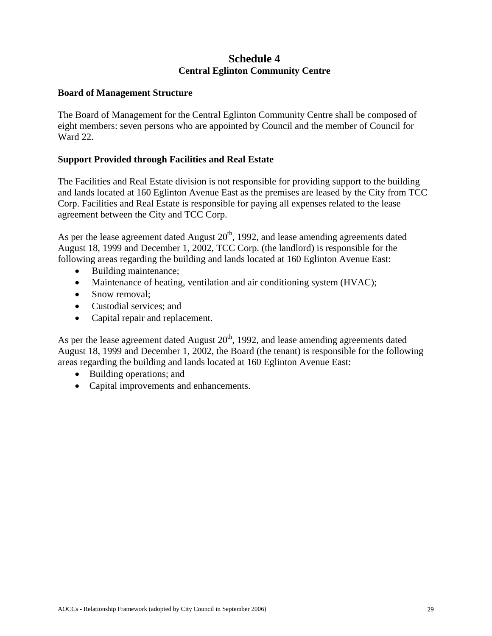# **Schedule 4 Central Eglinton Community Centre**

#### **Board of Management Structure**

The Board of Management for the Central Eglinton Community Centre shall be composed of eight members: seven persons who are appointed by Council and the member of Council for Ward 22.

#### **Support Provided through Facilities and Real Estate**

The Facilities and Real Estate division is not responsible for providing support to the building and lands located at 160 Eglinton Avenue East as the premises are leased by the City from TCC Corp. Facilities and Real Estate is responsible for paying all expenses related to the lease agreement between the City and TCC Corp.

As per the lease agreement dated August  $20<sup>th</sup>$ , 1992, and lease amending agreements dated August 18, 1999 and December 1, 2002, TCC Corp. (the landlord) is responsible for the following areas regarding the building and lands located at 160 Eglinton Avenue East:

- Building maintenance;
- Maintenance of heating, ventilation and air conditioning system (HVAC);
- Snow removal:
- Custodial services; and
- Capital repair and replacement.

As per the lease agreement dated August  $20<sup>th</sup>$ , 1992, and lease amending agreements dated August 18, 1999 and December 1, 2002, the Board (the tenant) is responsible for the following areas regarding the building and lands located at 160 Eglinton Avenue East:

- Building operations; and
- Capital improvements and enhancements.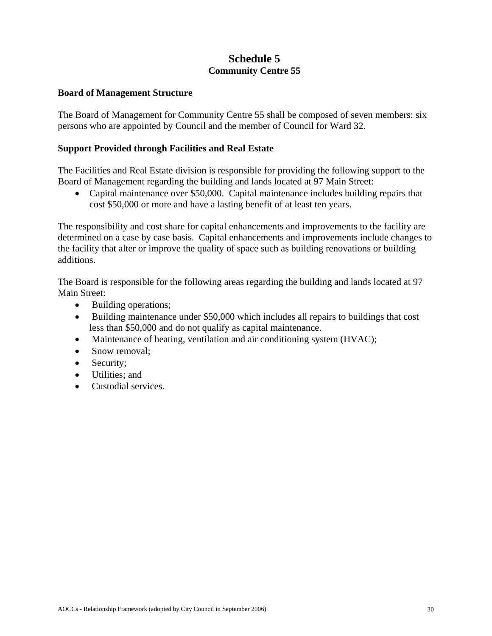# **Schedule 5 Community Centre 55**

#### **Board of Management Structure**

The Board of Management for Community Centre 55 shall be composed of seven members: six persons who are appointed by Council and the member of Council for Ward 32.

## **Support Provided through Facilities and Real Estate**

The Facilities and Real Estate division is responsible for providing the following support to the Board of Management regarding the building and lands located at 97 Main Street:

• Capital maintenance over \$50,000. Capital maintenance includes building repairs that cost \$50,000 or more and have a lasting benefit of at least ten years.

The responsibility and cost share for capital enhancements and improvements to the facility are determined on a case by case basis. Capital enhancements and improvements include changes to the facility that alter or improve the quality of space such as building renovations or building additions.

The Board is responsible for the following areas regarding the building and lands located at 97 Main Street:

- Building operations;
- Building maintenance under \$50,000 which includes all repairs to buildings that cost less than \$50,000 and do not qualify as capital maintenance.
- Maintenance of heating, ventilation and air conditioning system (HVAC);
- Snow removal:
- Security:
- Utilities: and
- Custodial services.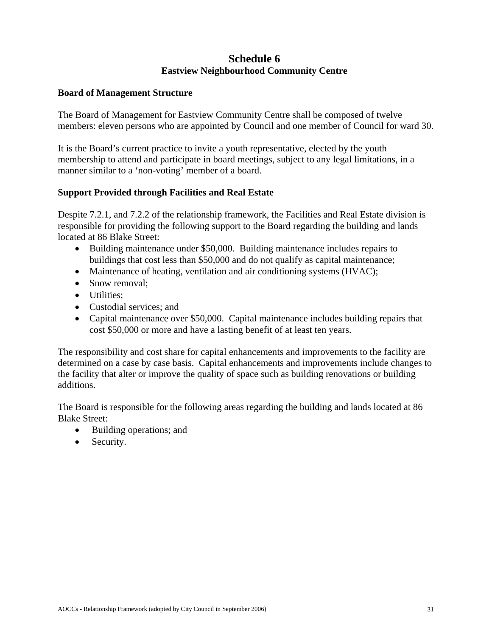# **Schedule 6 Eastview Neighbourhood Community Centre**

## **Board of Management Structure**

The Board of Management for Eastview Community Centre shall be composed of twelve members: eleven persons who are appointed by Council and one member of Council for ward 30.

It is the Board's current practice to invite a youth representative, elected by the youth membership to attend and participate in board meetings, subject to any legal limitations, in a manner similar to a 'non-voting' member of a board.

## **Support Provided through Facilities and Real Estate**

Despite 7.2.1, and 7.2.2 of the relationship framework, the Facilities and Real Estate division is responsible for providing the following support to the Board regarding the building and lands located at 86 Blake Street:

- Building maintenance under \$50,000. Building maintenance includes repairs to buildings that cost less than \$50,000 and do not qualify as capital maintenance;
- Maintenance of heating, ventilation and air conditioning systems (HVAC);
- Snow removal:
- Utilities:
- Custodial services; and
- Capital maintenance over \$50,000. Capital maintenance includes building repairs that cost \$50,000 or more and have a lasting benefit of at least ten years.

The responsibility and cost share for capital enhancements and improvements to the facility are determined on a case by case basis. Capital enhancements and improvements include changes to the facility that alter or improve the quality of space such as building renovations or building additions.

The Board is responsible for the following areas regarding the building and lands located at 86 Blake Street:

- Building operations; and
- Security.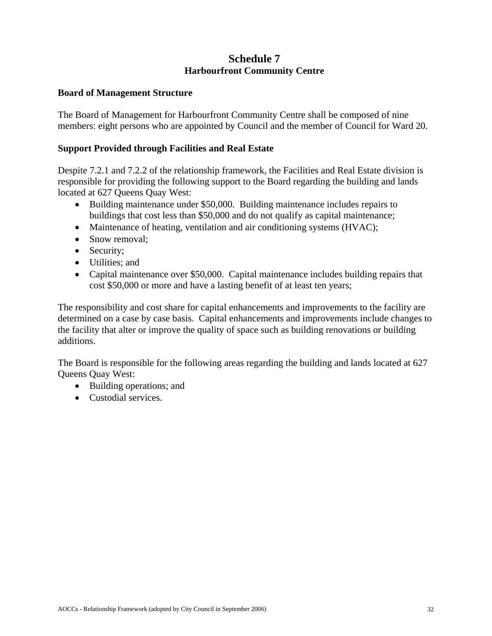# **Schedule 7 Harbourfront Community Centre**

#### **Board of Management Structure**

The Board of Management for Harbourfront Community Centre shall be composed of nine members: eight persons who are appointed by Council and the member of Council for Ward 20.

## **Support Provided through Facilities and Real Estate**

Despite 7.2.1 and 7.2.2 of the relationship framework, the Facilities and Real Estate division is responsible for providing the following support to the Board regarding the building and lands located at 627 Queens Quay West:

- Building maintenance under \$50,000. Building maintenance includes repairs to buildings that cost less than \$50,000 and do not qualify as capital maintenance;
- Maintenance of heating, ventilation and air conditioning systems (HVAC);
- Snow removal;
- Security;
- Utilities; and
- Capital maintenance over \$50,000. Capital maintenance includes building repairs that cost \$50,000 or more and have a lasting benefit of at least ten years;

The responsibility and cost share for capital enhancements and improvements to the facility are determined on a case by case basis. Capital enhancements and improvements include changes to the facility that alter or improve the quality of space such as building renovations or building additions.

The Board is responsible for the following areas regarding the building and lands located at 627 Queens Quay West:

- Building operations; and
- Custodial services.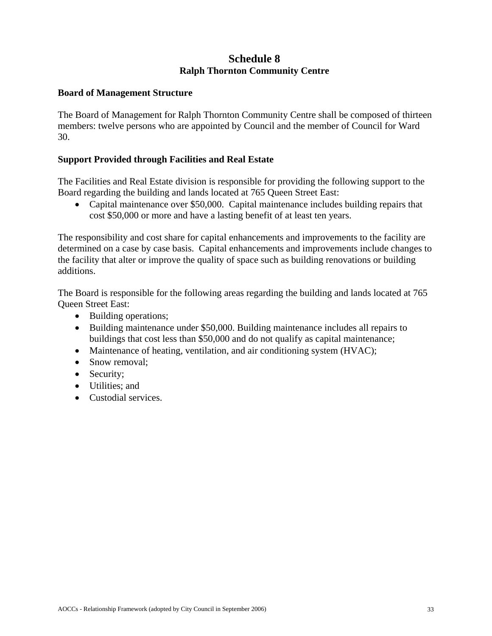# **Schedule 8 Ralph Thornton Community Centre**

#### **Board of Management Structure**

The Board of Management for Ralph Thornton Community Centre shall be composed of thirteen members: twelve persons who are appointed by Council and the member of Council for Ward 30.

## **Support Provided through Facilities and Real Estate**

The Facilities and Real Estate division is responsible for providing the following support to the Board regarding the building and lands located at 765 Queen Street East:

 Capital maintenance over \$50,000. Capital maintenance includes building repairs that cost \$50,000 or more and have a lasting benefit of at least ten years.

The responsibility and cost share for capital enhancements and improvements to the facility are determined on a case by case basis. Capital enhancements and improvements include changes to the facility that alter or improve the quality of space such as building renovations or building additions.

The Board is responsible for the following areas regarding the building and lands located at 765 Queen Street East:

- Building operations;
- Building maintenance under \$50,000. Building maintenance includes all repairs to buildings that cost less than \$50,000 and do not qualify as capital maintenance;
- Maintenance of heating, ventilation, and air conditioning system (HVAC);
- Snow removal;
- Security;
- Utilities; and
- Custodial services.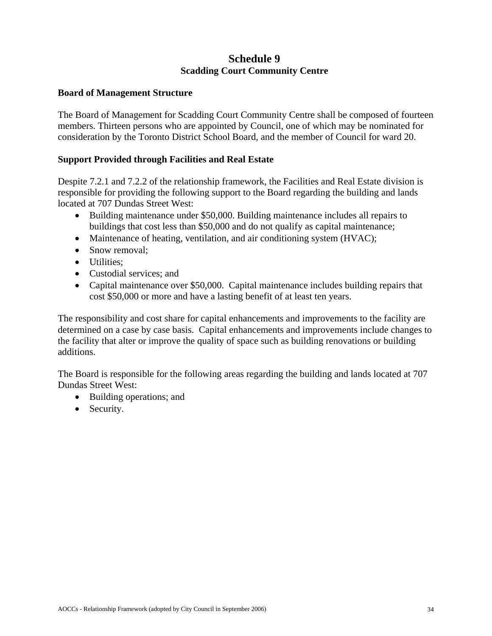# **Schedule 9 Scadding Court Community Centre**

#### **Board of Management Structure**

The Board of Management for Scadding Court Community Centre shall be composed of fourteen members. Thirteen persons who are appointed by Council, one of which may be nominated for consideration by the Toronto District School Board, and the member of Council for ward 20.

## **Support Provided through Facilities and Real Estate**

Despite 7.2.1 and 7.2.2 of the relationship framework, the Facilities and Real Estate division is responsible for providing the following support to the Board regarding the building and lands located at 707 Dundas Street West:

- Building maintenance under \$50,000. Building maintenance includes all repairs to buildings that cost less than \$50,000 and do not qualify as capital maintenance;
- Maintenance of heating, ventilation, and air conditioning system (HVAC);
- Snow removal:
- Utilities:
- Custodial services; and
- Capital maintenance over \$50,000. Capital maintenance includes building repairs that cost \$50,000 or more and have a lasting benefit of at least ten years.

The responsibility and cost share for capital enhancements and improvements to the facility are determined on a case by case basis. Capital enhancements and improvements include changes to the facility that alter or improve the quality of space such as building renovations or building additions.

The Board is responsible for the following areas regarding the building and lands located at 707 Dundas Street West:

- Building operations; and
- Security.